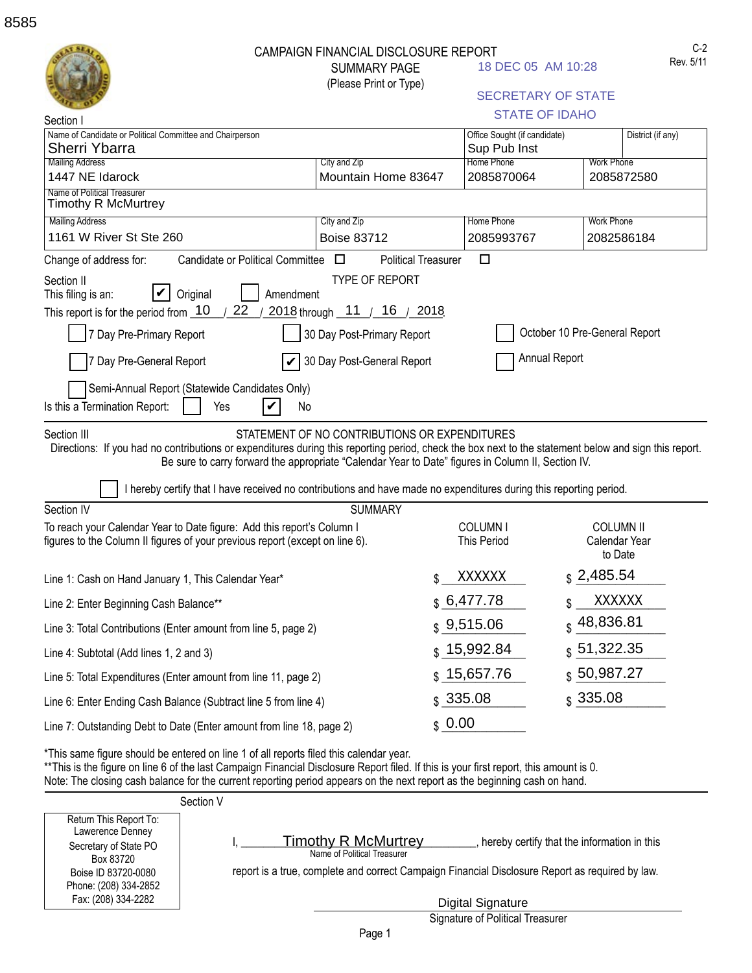| Section I                                                                                                                                                                                                                                                                                                                                                     | <b>CAMPAIGN FINANCIAL DISCLOSURE REPORT</b><br><b>SUMMARY PAGE</b><br>(Please Print or Type)       |                                      | 18 DEC 05 AM 10:28<br><b>SECRETARY OF STATE</b><br><b>STATE OF IDAHO</b> | $C-2$<br>Rev. 5/11                           |
|---------------------------------------------------------------------------------------------------------------------------------------------------------------------------------------------------------------------------------------------------------------------------------------------------------------------------------------------------------------|----------------------------------------------------------------------------------------------------|--------------------------------------|--------------------------------------------------------------------------|----------------------------------------------|
| Name of Candidate or Political Committee and Chairperson                                                                                                                                                                                                                                                                                                      |                                                                                                    |                                      | Office Sought (if candidate)                                             | District (if any)                            |
| Sherri Ybarra<br><b>Mailing Address</b>                                                                                                                                                                                                                                                                                                                       | City and Zip                                                                                       | Sup Pub Inst<br>Home Phone           |                                                                          | <b>Work Phone</b>                            |
| 1447 NE Idarock                                                                                                                                                                                                                                                                                                                                               | Mountain Home 83647                                                                                | 2085870064                           |                                                                          | 2085872580                                   |
| Name of Political Treasurer<br><b>Timothy R McMurtrey</b>                                                                                                                                                                                                                                                                                                     |                                                                                                    |                                      |                                                                          |                                              |
| <b>Mailing Address</b>                                                                                                                                                                                                                                                                                                                                        | City and Zip                                                                                       | Home Phone                           | <b>Work Phone</b>                                                        |                                              |
| 1161 W River St Ste 260                                                                                                                                                                                                                                                                                                                                       | <b>Boise 83712</b>                                                                                 | 2085993767                           |                                                                          | 2082586184                                   |
| Candidate or Political Committee $\square$<br>Change of address for:                                                                                                                                                                                                                                                                                          |                                                                                                    | $\Box$<br><b>Political Treasurer</b> |                                                                          |                                              |
| 7 Day Pre-Primary Report<br>7 Day Pre-General Report<br>Semi-Annual Report (Statewide Candidates Only)<br>Is this a Termination Report:<br>Yes                                                                                                                                                                                                                | 30 Day Post-Primary Report<br>30 Day Post-General Report<br>No                                     |                                      | October 10 Pre-General Report<br>Annual Report                           |                                              |
| Directions: If you had no contributions or expenditures during this reporting period, check the box next to the statement below and sign this report.<br>I hereby certify that I have received no contributions and have made no expenditures during this reporting period.                                                                                   | Be sure to carry forward the appropriate "Calendar Year to Date" figures in Column II, Section IV. |                                      |                                                                          |                                              |
| Section IV                                                                                                                                                                                                                                                                                                                                                    | <b>SUMMARY</b>                                                                                     |                                      |                                                                          |                                              |
| To reach your Calendar Year to Date figure: Add this report's Column I<br>figures to the Column II figures of your previous report (except on line 6).                                                                                                                                                                                                        |                                                                                                    | COLUMN I<br><b>This Period</b>       |                                                                          | <b>COLUMN II</b><br>Calendar Year<br>to Date |
| Line 1: Cash on Hand January 1, This Calendar Year*                                                                                                                                                                                                                                                                                                           |                                                                                                    | <b>XXXXXX</b><br>\$                  | \$2,485.54                                                               |                                              |
| Line 2: Enter Beginning Cash Balance**                                                                                                                                                                                                                                                                                                                        |                                                                                                    | \$6,477.78                           |                                                                          | <b>XXXXXX</b>                                |
| Line 3: Total Contributions (Enter amount from line 5, page 2)                                                                                                                                                                                                                                                                                                |                                                                                                    | \$9,515.06                           | 48,836.81                                                                |                                              |
| Line 4: Subtotal (Add lines 1, 2 and 3)                                                                                                                                                                                                                                                                                                                       |                                                                                                    | \$15,992.84                          | \$51,322.35                                                              |                                              |
| Line 5: Total Expenditures (Enter amount from line 11, page 2)                                                                                                                                                                                                                                                                                                |                                                                                                    | \$15,657.76                          | \$50,987.27                                                              |                                              |
| Line 6: Enter Ending Cash Balance (Subtract line 5 from line 4)                                                                                                                                                                                                                                                                                               |                                                                                                    | \$335.08                             | \$335.08                                                                 |                                              |
| Line 7: Outstanding Debt to Date (Enter amount from line 18, page 2)                                                                                                                                                                                                                                                                                          |                                                                                                    | \$0.00                               |                                                                          |                                              |
| *This same figure should be entered on line 1 of all reports filed this calendar year.<br>**This is the figure on line 6 of the last Campaign Financial Disclosure Report filed. If this is your first report, this amount is 0.<br>Note: The closing cash balance for the current reporting period appears on the next report as the beginning cash on hand. |                                                                                                    |                                      |                                                                          |                                              |
| Section V                                                                                                                                                                                                                                                                                                                                                     |                                                                                                    |                                      |                                                                          |                                              |

Return This Report To: Lawerence Denney Secretary of State PO Box 83720 Boise ID 83720-0080 Phone: (208) 334-2852 Fax: (208) 334-2282

report is a true, complete and correct Campaign Financial Disclosure Report as required by law. Name of Political Treasurer

I, Timothy R McMurtrey entries the entriest of the information in this

Digital Signature

Signature of Political Treasurer

**Timothy R McMurtrey**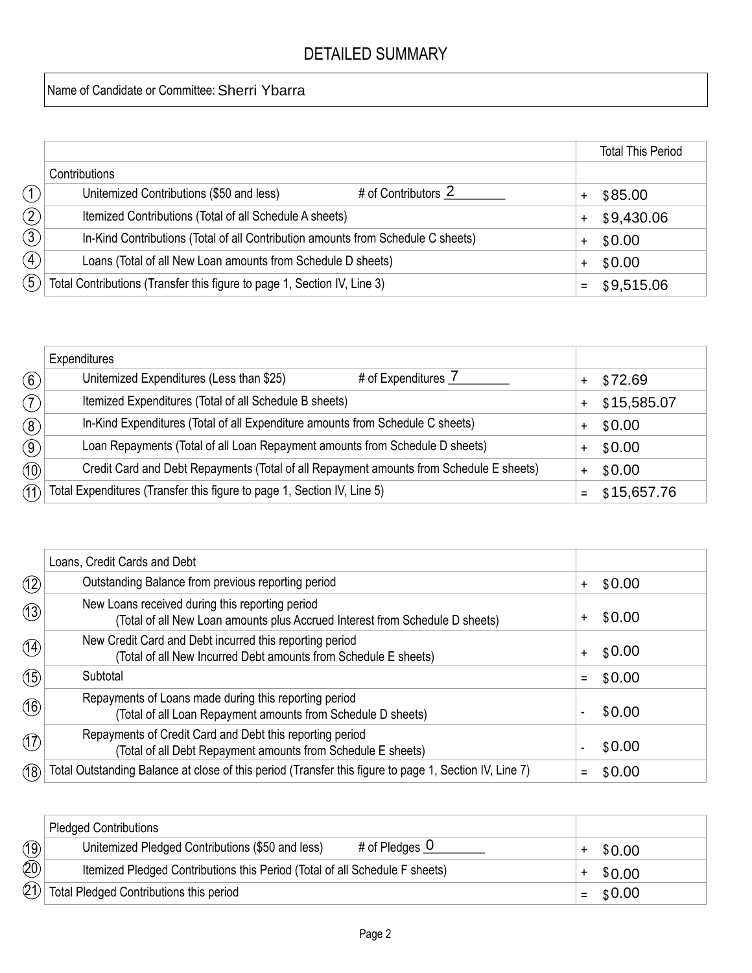## DETAILED SUMMARY

## Name of Candidate or Committee: Sherri Ybarra

|                   |                                                                                  | <b>Total This Period</b> |
|-------------------|----------------------------------------------------------------------------------|--------------------------|
|                   | Contributions                                                                    |                          |
| (1)               | # of Contributors 2<br>Unitemized Contributions (\$50 and less)                  | \$85.00                  |
| (2)               | Itemized Contributions (Total of all Schedule A sheets)                          | \$9,430.06               |
| $\circled{3}$     | In-Kind Contributions (Total of all Contribution amounts from Schedule C sheets) | \$0.00                   |
| $\left( 4\right)$ | Loans (Total of all New Loan amounts from Schedule D sheets)                     | \$0.00                   |
| $\mathfrak{F}$    | Total Contributions (Transfer this figure to page 1, Section IV, Line 3)         | $=$ \$9,515.06           |

|                   | Expenditures                                                                            |             |
|-------------------|-----------------------------------------------------------------------------------------|-------------|
| $\left( 6\right)$ | Unitemized Expenditures (Less than \$25)<br># of Expenditures 7                         | \$72.69     |
| (7)               | Itemized Expenditures (Total of all Schedule B sheets)                                  | \$15,585.07 |
| $\circled{8}$     | In-Kind Expenditures (Total of all Expenditure amounts from Schedule C sheets)          | \$0.00      |
| $\circled{9}$     | Loan Repayments (Total of all Loan Repayment amounts from Schedule D sheets)            | \$0.00      |
| $\circled{10}$    | Credit Card and Debt Repayments (Total of all Repayment amounts from Schedule E sheets) | \$0.00      |
| 11)               | Total Expenditures (Transfer this figure to page 1, Section IV, Line 5)                 | \$15,657.76 |

|               | Loans, Credit Cards and Debt                                                                                                    |                     |
|---------------|---------------------------------------------------------------------------------------------------------------------------------|---------------------|
| (12)          | Outstanding Balance from previous reporting period                                                                              | \$0.00<br>$\ddot{}$ |
| (13)          | New Loans received during this reporting period<br>(Total of all New Loan amounts plus Accrued Interest from Schedule D sheets) | \$0.00<br>+         |
| (14)          | New Credit Card and Debt incurred this reporting period<br>(Total of all New Incurred Debt amounts from Schedule E sheets)      | \$0.00<br>$\ddot{}$ |
| (15)          | Subtotal                                                                                                                        | \$0.00<br>Ξ         |
| (16)          | Repayments of Loans made during this reporting period<br>(Total of all Loan Repayment amounts from Schedule D sheets)           | \$0.00              |
| $\circled{1}$ | Repayments of Credit Card and Debt this reporting period<br>(Total of all Debt Repayment amounts from Schedule E sheets)        | \$0.00              |
| (18)          | Total Outstanding Balance at close of this period (Transfer this figure to page 1, Section IV, Line 7)                          | \$0.00              |

|      | <b>Pledged Contributions</b>                                                    |        |
|------|---------------------------------------------------------------------------------|--------|
| (19) | # of Pledges $\overline{0}$<br>Unitemized Pledged Contributions (\$50 and less) | \$0.00 |
| (20) | Itemized Pledged Contributions this Period (Total of all Schedule F sheets)     | \$0.00 |
| (2)  | Total Pledged Contributions this period                                         | \$0.00 |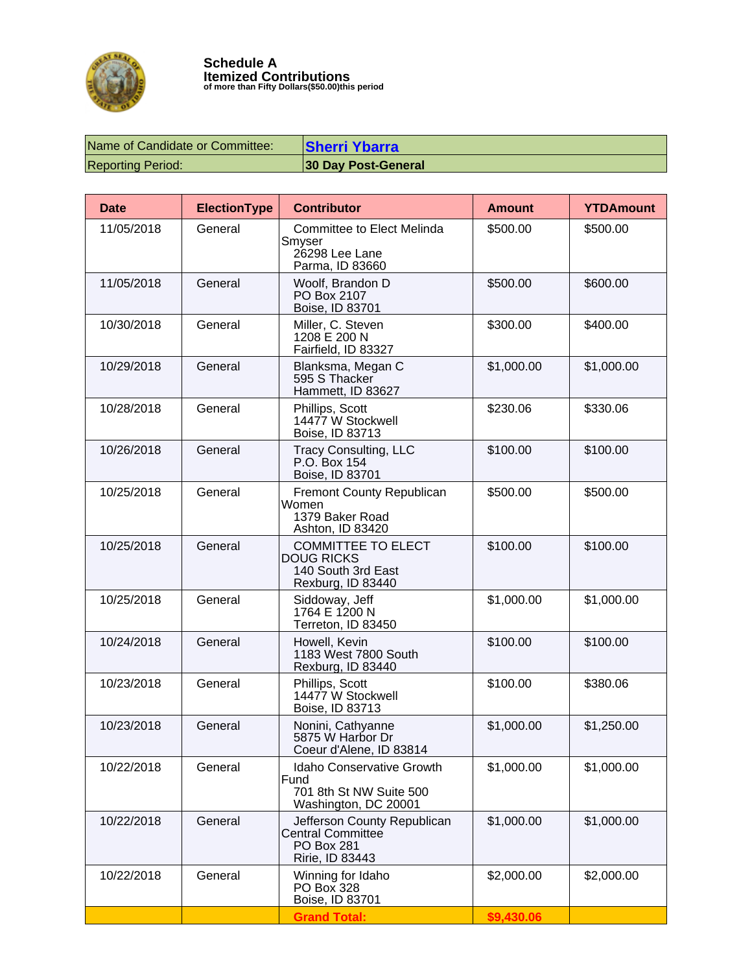

| Name of Candidate or Committee: | <b>Sherri Ybarra</b>       |
|---------------------------------|----------------------------|
| <b>Reporting Period:</b>        | <b>30 Day Post-General</b> |

| <b>Date</b> | <b>ElectionType</b> | <b>Contributor</b>                                                                              | <b>Amount</b> | <b>YTDAmount</b> |
|-------------|---------------------|-------------------------------------------------------------------------------------------------|---------------|------------------|
| 11/05/2018  | General             | Committee to Elect Melinda<br>Smyser<br>26298 Lee Lane<br>Parma, ID 83660                       | \$500.00      | \$500.00         |
| 11/05/2018  | General             | Woolf, Brandon D<br>PO Box 2107<br>Boise, ID 83701                                              | \$500.00      | \$600.00         |
| 10/30/2018  | General             | Miller, C. Steven<br>1208 E 200 N<br>Fairfield, ID 83327                                        | \$300.00      | \$400.00         |
| 10/29/2018  | General             | Blanksma, Megan C<br>595 S Thacker<br>Hammett, ID 83627                                         | \$1,000.00    | \$1,000.00       |
| 10/28/2018  | General             | Phillips, Scott<br>14477 W Stockwell<br>Boise, ID 83713                                         | \$230.06      | \$330.06         |
| 10/26/2018  | General             | <b>Tracy Consulting, LLC</b><br>P.O. Box 154<br>Boise, ID 83701                                 | \$100.00      | \$100.00         |
| 10/25/2018  | General             | <b>Fremont County Republican</b><br>Women<br>1379 Baker Road<br>Ashton, ID 83420                | \$500.00      | \$500.00         |
| 10/25/2018  | General             | <b>COMMITTEE TO ELECT</b><br><b>DOUG RICKS</b><br>140 South 3rd East<br>Rexburg, ID 83440       | \$100.00      | \$100.00         |
| 10/25/2018  | General             | Siddoway, Jeff<br>1764 E 1200 N<br>Terreton, ID 83450                                           | \$1,000.00    | \$1,000.00       |
| 10/24/2018  | General             | Howell, Kevin<br>1183 West 7800 South<br>Rexburg, ID 83440                                      | \$100.00      | \$100.00         |
| 10/23/2018  | General             | Phillips, Scott<br>14477 W Stockwell<br>Boise, ID 83713                                         | \$100.00      | \$380.06         |
| 10/23/2018  | General             | Nonini, Cathyanne<br>5875 W Harbor Dr<br>Coeur d'Alene, ID 83814                                | \$1,000.00    | \$1,250.00       |
| 10/22/2018  | General             | <b>Idaho Conservative Growth</b><br>Fund<br>701 8th St NW Suite 500<br>Washington, DC 20001     | \$1,000.00    | \$1,000.00       |
| 10/22/2018  | General             | Jefferson County Republican<br><b>Central Committee</b><br><b>PO Box 281</b><br>Ririe, ID 83443 | \$1,000.00    | \$1,000.00       |
| 10/22/2018  | General             | Winning for Idaho<br>PO Box 328<br>Boise, ID 83701                                              | \$2,000.00    | \$2,000.00       |
|             |                     | <b>Grand Total:</b>                                                                             | \$9,430.06    |                  |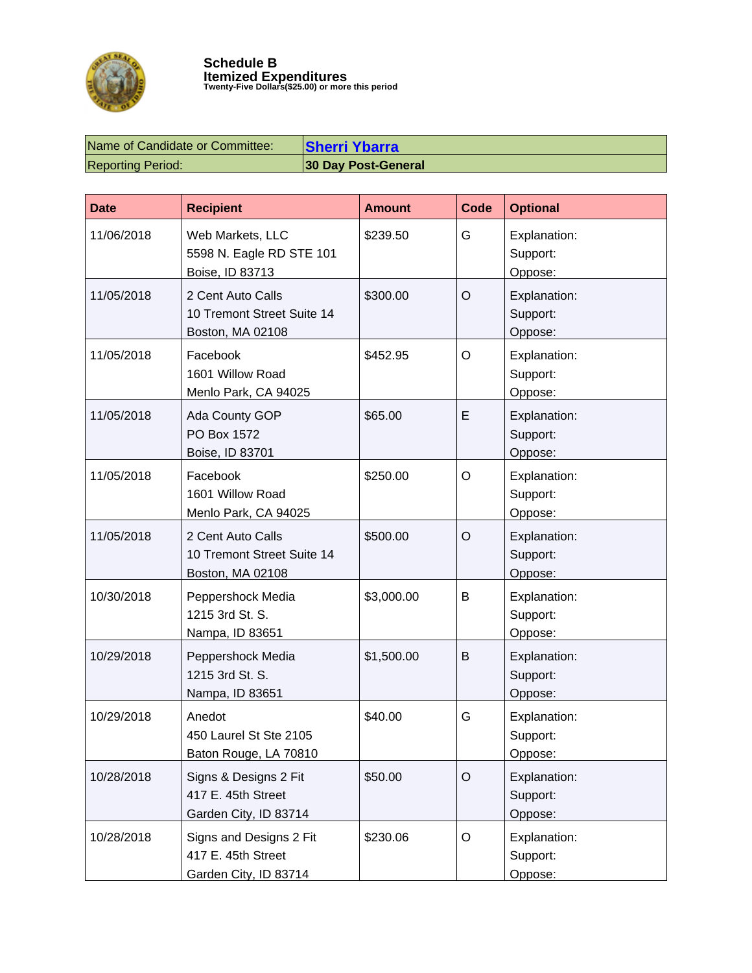

| Name of Candidate or Committee: | <b>Sherri Ybarra</b>       |
|---------------------------------|----------------------------|
| <b>Reporting Period:</b>        | <b>30 Day Post-General</b> |

| <b>Date</b> | <b>Recipient</b>                                                       | <b>Amount</b> | <b>Code</b> | <b>Optional</b>                     |
|-------------|------------------------------------------------------------------------|---------------|-------------|-------------------------------------|
| 11/06/2018  | Web Markets, LLC<br>5598 N. Eagle RD STE 101<br>Boise, ID 83713        | \$239.50      | G           | Explanation:<br>Support:<br>Oppose: |
| 11/05/2018  | 2 Cent Auto Calls<br>10 Tremont Street Suite 14<br>Boston, MA 02108    | \$300.00      | $\circ$     | Explanation:<br>Support:<br>Oppose: |
| 11/05/2018  | Facebook<br>1601 Willow Road<br>Menlo Park, CA 94025                   | \$452.95      | O           | Explanation:<br>Support:<br>Oppose: |
| 11/05/2018  | Ada County GOP<br>PO Box 1572<br>Boise, ID 83701                       | \$65.00       | E           | Explanation:<br>Support:<br>Oppose: |
| 11/05/2018  | Facebook<br>1601 Willow Road<br>Menlo Park, CA 94025                   | \$250.00      | O           | Explanation:<br>Support:<br>Oppose: |
| 11/05/2018  | 2 Cent Auto Calls<br>10 Tremont Street Suite 14<br>Boston, MA 02108    | \$500.00      | O           | Explanation:<br>Support:<br>Oppose: |
| 10/30/2018  | Peppershock Media<br>1215 3rd St. S.<br>Nampa, ID 83651                | \$3,000.00    | B           | Explanation:<br>Support:<br>Oppose: |
| 10/29/2018  | Peppershock Media<br>1215 3rd St. S.<br>Nampa, ID 83651                | \$1,500.00    | B           | Explanation:<br>Support:<br>Oppose: |
| 10/29/2018  | Anedot<br>450 Laurel St Ste 2105<br>Baton Rouge, LA 70810              | \$40.00       | G           | Explanation:<br>Support:<br>Oppose: |
| 10/28/2018  | Signs & Designs 2 Fit<br>417 E. 45th Street<br>Garden City, ID 83714   | \$50.00       | $\circ$     | Explanation:<br>Support:<br>Oppose: |
| 10/28/2018  | Signs and Designs 2 Fit<br>417 E. 45th Street<br>Garden City, ID 83714 | \$230.06      | O           | Explanation:<br>Support:<br>Oppose: |